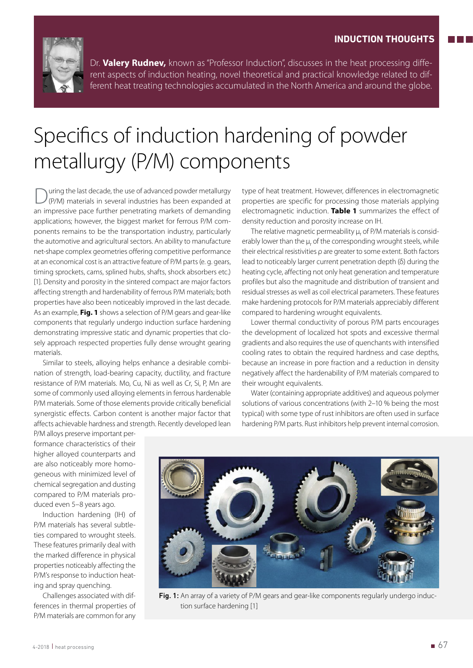

Dr. **Valery Rudnev,** known as "Professor Induction", discusses in the heat processing different aspects of induction heating, novel theoretical and practical knowledge related to different heat treating technologies accumulated in the North America and around the globe.

## Specifics of induction hardening of powder metallurgy (P/M) components

During the last decade, the use of advanced powder metallurgy (P/M) materials in several industries has been expanded at an impressive pace further penetrating markets of demanding applications; however, the biggest market for ferrous P/M components remains to be the transportation industry, particularly the automotive and agricultural sectors. An ability to manufacture net-shape complex geometries offering competitive performance at an economical cost is an attractive feature of P/M parts (e. g. gears, timing sprockets, cams, splined hubs, shafts, shock absorbers etc.) [1]. Density and porosity in the sintered compact are major factors affecting strength and hardenability of ferrous P/M materials; both properties have also been noticeably improved in the last decade. As an example, **Fig. 1** shows a selection of P/M gears and gear-like components that regularly undergo induction surface hardening demonstrating impressive static and dynamic properties that closely approach respected properties fully dense wrought gearing materials.

Similar to steels, alloying helps enhance a desirable combination of strength, load-bearing capacity, ductility, and fracture resistance of P/M materials. Mo, Cu, Ni as well as Cr, Si, P, Mn are some of commonly used alloying elements in ferrous hardenable P/M materials. Some of those elements provide critically beneficial synergistic effects. Carbon content is another major factor that affects achievable hardness and strength. Recently developed lean

type of heat treatment. However, differences in electromagnetic properties are specific for processing those materials applying electromagnetic induction. **Table 1** summarizes the effect of density reduction and porosity increase on IH.

The relative magnetic permeability  $\mu_{\sf r}$  of P/M materials is considerably lower than the  $\mu_r$  of the corresponding wrought steels, while their electrical resistivities ρ are greater to some extent. Both factors lead to noticeably larger current penetration depth (δ) during the heating cycle, affecting not only heat generation and temperature profiles but also the magnitude and distribution of transient and residual stresses as well as coil electrical parameters. These features make hardening protocols for P/M materials appreciably different compared to hardening wrought equivalents.

Lower thermal conductivity of porous P/M parts encourages the development of localized hot spots and excessive thermal gradients and also requires the use of quenchants with intensified cooling rates to obtain the required hardness and case depths, because an increase in pore fraction and a reduction in density negatively affect the hardenability of P/M materials compared to their wrought equivalents.

Water (containing appropriate additives) and aqueous polymer solutions of various concentrations (with 2–10 % being the most typical) with some type of rust inhibitors are often used in surface hardening P/M parts. Rust inhibitors help prevent internal corrosion.

P/M alloys preserve important performance characteristics of their higher alloyed counterparts and are also noticeably more homogeneous with minimized level of chemical segregation and dusting compared to P/M materials produced even 5–8 years ago.

Induction hardening (IH) of P/M materials has several subtleties compared to wrought steels. These features primarily deal with the marked difference in physical properties noticeably affecting the P/M's response to induction heating and spray quenching.

Challenges associated with differences in thermal properties of P/M materials are common for any



Fig. 1: An array of a variety of P/M gears and gear-like components regularly undergo induction surface hardening [1]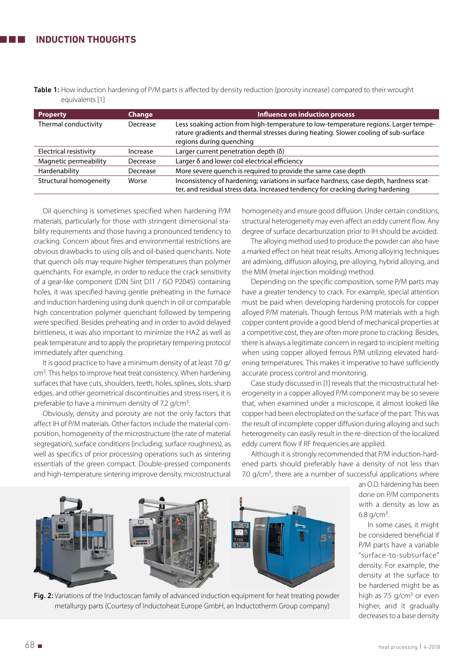Table 1: How induction hardening of P/M parts is affected by density reduction (porosity increase) compared to their wrought equivalents [1]

| <b>Property</b>        | Change   | Influence on induction process                                                                                                                                                                         |
|------------------------|----------|--------------------------------------------------------------------------------------------------------------------------------------------------------------------------------------------------------|
| Thermal conductivity   | Decrease | Less soaking action from high-temperature to low-temperature regions. Larger tempe-<br>rature gradients and thermal stresses during heating. Slower cooling of sub-surface<br>regions during quenching |
| Electrical resistivity | Increase | Larger current penetration depth $(\delta)$                                                                                                                                                            |
| Magnetic permeability  | Decrease | Larger δ and lower coil electrical efficiency                                                                                                                                                          |
| Hardenability          | Decrease | More severe quench is required to provide the same case depth                                                                                                                                          |
| Structural homogeneity | Worse    | Inconsistency of hardening; variations in surface hardness, case depth, hardness scat-<br>ter, and residual stress data. Increased tendency for cracking during hardening                              |

Oil quenching is sometimes specified when hardening P/M materials, particularly for those with stringent dimensional stability requirements and those having a pronounced tendency to cracking. Concern about fires and environmental restrictions are obvious drawbacks to using oils and oil-based quenchants. Note that quench oils may require higher temperatures than polymer quenchants. For example, in order to reduce the crack sensitivity of a gear-like component (DIN Sint D11 / ISO P2045) containing holes, it was specified having gentle preheating in the furnace and induction hardening using dunk quench in oil or comparable high concentration polymer quenchant followed by tempering were specified. Besides preheating and in order to avoid delayed brittleness, it was also important to minimize the HAZ as well as peak temperature and to apply the proprietary tempering protocol immediately after quenching.

It is good practice to have a minimum density of at least 7.0 g/ cm3. This helps to improve heat treat consistency. When hardening surfaces that have cuts, shoulders, teeth, holes, splines, slots, sharp edges, and other geometrical discontinuities and stress risers, it is preferable to have a minimum density of 7.2 g/cm<sup>3</sup>.

Obviously, density and porosity are not the only factors that affect IH of P/M materials. Other factors include the material composition, homogeneity of the microstructure (the rate of material segregation), surface conditions (including, surface roughness), as well as specifics of prior processing operations such as sintering essentials of the green compact. Double-pressed components and high-temperature sintering improve density, microstructural

homogeneity and ensure good diffusion. Under certain conditions, structural heterogeneity may even affect an eddy current flow. Any degree of surface decarburization prior to IH should be avoided.

The alloying method used to produce the powder can also have a marked effect on heat treat results. Among alloying techniques are admixing, diffusion alloying, pre-alloying, hybrid alloying, and the MIM (metal injection molding) method.

Depending on the specific composition, some P/M parts may have a greater tendency to crack. For example, special attention must be paid when developing hardening protocols for copper alloyed P/M materials. Though ferrous P/M materials with a high copper content provide a good blend of mechanical properties at a competitive cost, they are often more prone to cracking. Besides, there is always a legitimate concern in regard to incipient melting when using copper alloyed ferrous P/M utilizing elevated hardening temperatures. This makes it imperative to have sufficiently accurate process control and monitoring.

Case study discussed in [1] reveals that the microstructural heterogeneity in a copper alloyed P/M component may be so severe that, when examined under a microscope, it almost looked like copper had been electroplated on the surface of the part. This was the result of incomplete copper diffusion during alloying and such heterogeneity can easily result in the re-direction of the localized eddy current flow if RF frequencies are applied.

Although it is strongly recommended that P/M induction-hardened parts should preferably have a density of not less than 7.0 g/cm<sup>3</sup>, there are a number of successful applications where



Fig. 2: Variations of the Inductoscan family of advanced induction equipment for heat treating powder metallurgy parts (Courtesy of Inductoheat Europe GmbH, an Inductotherm Group company)

an O.D. hardening has been done on P/M components with a density as low as 6.8  $g/cm<sup>3</sup>$ .

In some cases, it might be considered beneficial if P/M parts have a variable "surface-to-subsurface" density. For example, the density at the surface to be hardened might be as high as 7.5  $q/cm<sup>3</sup>$  or even higher, and it gradually decreases to a base density